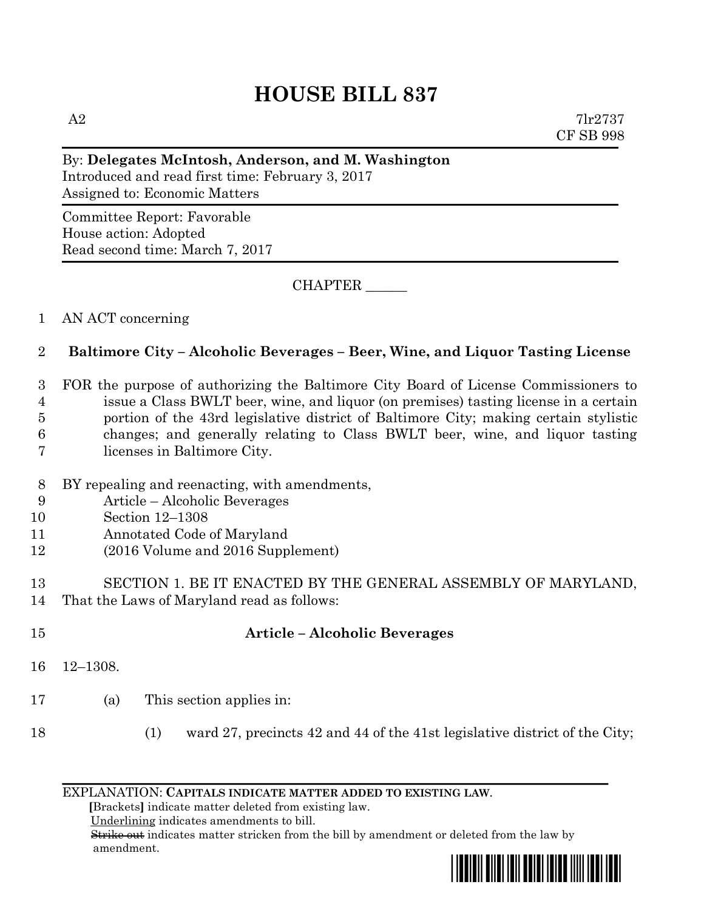# **HOUSE BILL 837**

#### By: **Delegates McIntosh, Anderson, and M. Washington**

Introduced and read first time: February 3, 2017 Assigned to: Economic Matters

Committee Report: Favorable House action: Adopted Read second time: March 7, 2017

CHAPTER \_\_\_\_\_\_

#### 1 AN ACT concerning

## 2 **Baltimore City – Alcoholic Beverages – Beer, Wine, and Liquor Tasting License**

 FOR the purpose of authorizing the Baltimore City Board of License Commissioners to issue a Class BWLT beer, wine, and liquor (on premises) tasting license in a certain portion of the 43rd legislative district of Baltimore City; making certain stylistic changes; and generally relating to Class BWLT beer, wine, and liquor tasting licenses in Baltimore City.

- 8 BY repealing and reenacting, with amendments,
- 9 Article Alcoholic Beverages
- 10 Section 12–1308
- 11 Annotated Code of Maryland
- 12 (2016 Volume and 2016 Supplement)

#### 13 SECTION 1. BE IT ENACTED BY THE GENERAL ASSEMBLY OF MARYLAND, 14 That the Laws of Maryland read as follows:

## 15 **Article – Alcoholic Beverages**

- 16 12–1308.
- 17 (a) This section applies in:
- 18 (1) ward 27, precincts 42 and 44 of the 41st legislative district of the City;

#### EXPLANATION: **CAPITALS INDICATE MATTER ADDED TO EXISTING LAW**.

 **[**Brackets**]** indicate matter deleted from existing law.

Underlining indicates amendments to bill.

 Strike out indicates matter stricken from the bill by amendment or deleted from the law by amendment.

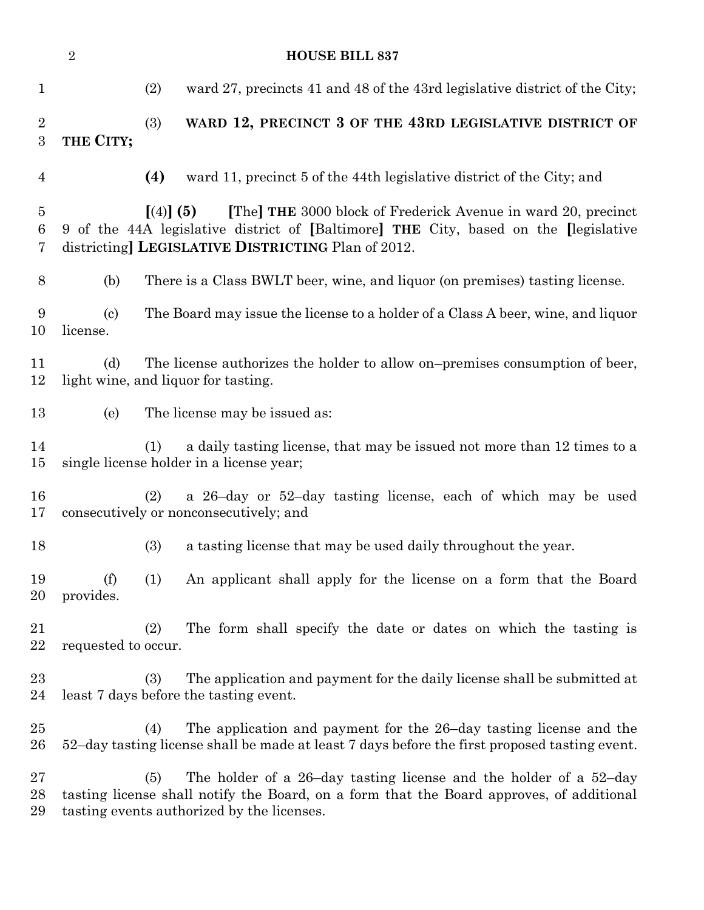| $\overline{2}$<br><b>HOUSE BILL 837</b> |                                                                                                                                                                                                                          |                                                                                                                                                                                                                    |  |  |  |
|-----------------------------------------|--------------------------------------------------------------------------------------------------------------------------------------------------------------------------------------------------------------------------|--------------------------------------------------------------------------------------------------------------------------------------------------------------------------------------------------------------------|--|--|--|
| $\mathbf{1}$                            |                                                                                                                                                                                                                          | (2)<br>ward 27, precincts 41 and 48 of the 43rd legislative district of the City;                                                                                                                                  |  |  |  |
| $\overline{2}$<br>$\boldsymbol{3}$      | THE CITY;                                                                                                                                                                                                                | (3)<br>WARD 12, PRECINCT 3 OF THE 43RD LEGISLATIVE DISTRICT OF                                                                                                                                                     |  |  |  |
| $\overline{4}$                          |                                                                                                                                                                                                                          | (4)<br>ward 11, precinct 5 of the 44th legislative district of the City; and                                                                                                                                       |  |  |  |
| $\overline{5}$<br>6<br>7                | [The] THE 3000 block of Frederick Avenue in ward 20, precinct<br>$(4)$ (5)<br>9 of the 44A legislative district of [Baltimore] THE City, based on the [legislative<br>districting] LEGISLATIVE DISTRICTING Plan of 2012. |                                                                                                                                                                                                                    |  |  |  |
| 8                                       | (b)                                                                                                                                                                                                                      | There is a Class BWLT beer, wine, and liquor (on premises) tasting license.                                                                                                                                        |  |  |  |
| 9<br>10                                 | $\left( \text{c} \right)$<br>license.                                                                                                                                                                                    | The Board may issue the license to a holder of a Class A beer, wine, and liquor                                                                                                                                    |  |  |  |
| 11<br>12                                | The license authorizes the holder to allow on-premises consumption of beer,<br>(d)<br>light wine, and liquor for tasting.                                                                                                |                                                                                                                                                                                                                    |  |  |  |
| 13                                      | (e)                                                                                                                                                                                                                      | The license may be issued as:                                                                                                                                                                                      |  |  |  |
| 14<br>15                                |                                                                                                                                                                                                                          | a daily tasting license, that may be issued not more than 12 times to a<br>(1)<br>single license holder in a license year;                                                                                         |  |  |  |
| 16<br>17                                |                                                                                                                                                                                                                          | a 26-day or 52-day tasting license, each of which may be used<br>(2)<br>consecutively or nonconsecutively; and                                                                                                     |  |  |  |
| 18                                      |                                                                                                                                                                                                                          | (3)<br>a tasting license that may be used daily throughout the year.                                                                                                                                               |  |  |  |
| 19<br>$20\,$                            | (f)<br>provides.                                                                                                                                                                                                         | An applicant shall apply for the license on a form that the Board<br>(1)                                                                                                                                           |  |  |  |
| 21<br>22                                | requested to occur.                                                                                                                                                                                                      | The form shall specify the date or dates on which the tasting is<br>(2)                                                                                                                                            |  |  |  |
| $23\,$<br>24                            |                                                                                                                                                                                                                          | The application and payment for the daily license shall be submitted at<br>(3)<br>least 7 days before the tasting event.                                                                                           |  |  |  |
| 25<br>$26\,$                            |                                                                                                                                                                                                                          | The application and payment for the 26-day tasting license and the<br>(4)<br>52-day tasting license shall be made at least 7 days before the first proposed tasting event.                                         |  |  |  |
| $27\,$<br>28<br>29                      |                                                                                                                                                                                                                          | The holder of a 26-day tasting license and the holder of a 52-day<br>(5)<br>tasting license shall notify the Board, on a form that the Board approves, of additional<br>tasting events authorized by the licenses. |  |  |  |